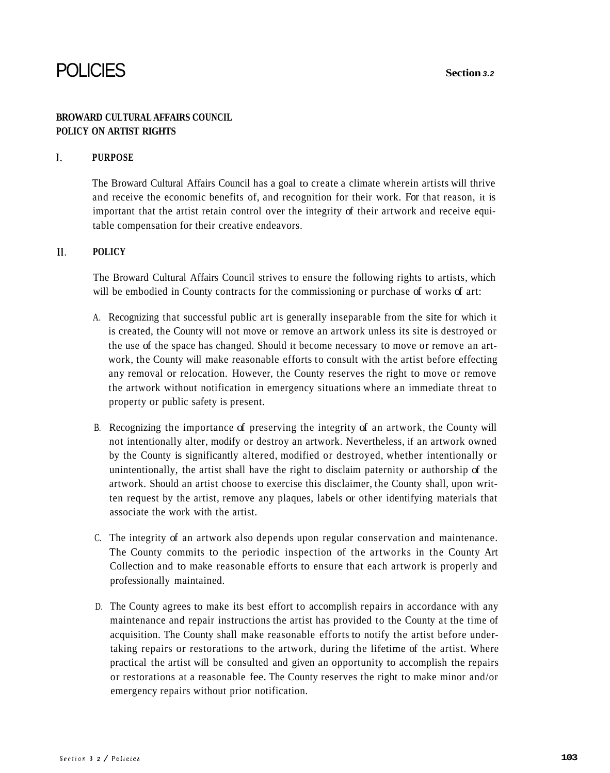# POLICIES **Section** *3.2*

## **BROWARD CULTURAL AFFAIRS COUNCIL POLICY ON ARTIST RIGHTS**

#### **1. PURPOSE**

The Broward Cultural Affairs Council has a goal to create a climate wherein artists will thrive and receive the economic benefits of, and recognition for their work. For that reason, it is important that the artist retain control over the integrity of their artwork and receive equitable compensation for their creative endeavors.

#### **11. POLICY**

The Broward Cultural Affairs Council strives to ensure the following rights to artists, which will be embodied in County contracts for the commissioning or purchase of works of art:

- A. Recognizing that successful public art is generally inseparable from the site for which it is created, the County will not move or remove an artwork unless its site is destroyed or the use of the space has changed. Should it become necessary to move or remove an artwork, the County will make reasonable efforts to consult with the artist before effecting any removal or relocation. However, the County reserves the right to move or remove the artwork without notification in emergency situations where an immediate threat to property or public safety is present.
- B. Recognizing the importance of preserving the integrity of an artwork, the County will not intentionally alter, modify or destroy an artwork. Nevertheless, if an artwork owned by the County is significantly altered, modified or destroyed, whether intentionally or unintentionally, the artist shall have the right to disclaim paternity or authorship of the artwork. Should an artist choose to exercise this disclaimer, the County shall, upon written request by the artist, remove any plaques, labels or other identifying materials that associate the work with the artist.
- C. The integrity of an artwork also depends upon regular conservation and maintenance. The County commits to the periodic inspection of the artworks in the County Art Collection and to make reasonable efforts to ensure that each artwork is properly and professionally maintained.
- D. The County agrees to make its best effort to accomplish repairs in accordance with any maintenance and repair instructions the artist has provided to the County at the time of acquisition. The County shall make reasonable efforts to notify the artist before undertaking repairs or restorations to the artwork, during the lifetime of the artist. Where practical the artist will be consulted and given an opportunity to accomplish the repairs or restorations at a reasonable fee. The County reserves the right to make minor and/or emergency repairs without prior notification.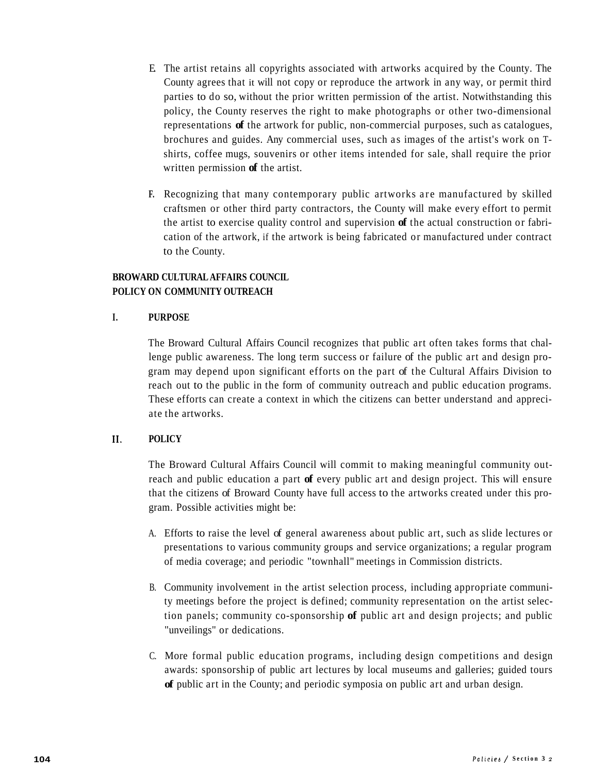- E. The artist retains all copyrights associated with artworks acquired by the County. The County agrees that it will not copy or reproduce the artwork in any way, or permit third parties to do so, without the prior written permission of the artist. Notwithstanding this policy, the County reserves the right to make photographs or other two-dimensional representations **of** the artwork for public, non-commercial purposes, such as catalogues, brochures and guides. Any commercial uses, such as images of the artist's work on Tshirts, coffee mugs, souvenirs or other items intended for sale, shall require the prior written permission **of** the artist.
- **F.** Recognizing that many contemporary public artworks are manufactured by skilled craftsmen or other third party contractors, the County will make every effort to permit the artist to exercise quality control and supervision **of** the actual construction or fabrication of the artwork, if the artwork is being fabricated or manufactured under contract to the County.

# **BROWARD CULTURAL AFFAIRS COUNCIL POLICY ON COMMUNITY OUTREACH**

## **I. PURPOSE**

The Broward Cultural Affairs Council recognizes that public art often takes forms that challenge public awareness. The long term success or failure of the public art and design program may depend upon significant efforts on the part of the Cultural Affairs Division to reach out to the public in the form of community outreach and public education programs. These efforts can create a context in which the citizens can better understand and appreciate the artworks.

#### **11. POLICY**

The Broward Cultural Affairs Council will commit to making meaningful community outreach and public education a part **of** every public art and design project. This will ensure that the citizens of Broward County have full access to the artworks created under this program. Possible activities might be:

- A. Efforts to raise the level of general awareness about public art, such as slide lectures or presentations to various community groups and service organizations; a regular program of media coverage; and periodic "townhall" meetings in Commission districts.
- B. Community involvement in the artist selection process, including appropriate community meetings before the project is defined; community representation on the artist selection panels; community co-sponsorship **of** public art and design projects; and public "unveilings" or dedications.
- C. More formal public education programs, including design competitions and design awards: sponsorship of public art lectures by local museums and galleries; guided tours **of** public art in the County; and periodic symposia on public art and urban design.